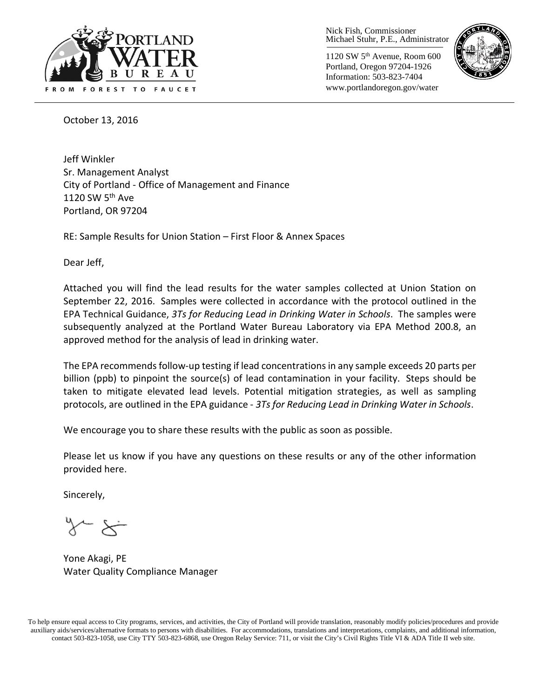

Nick Fish, Commissioner Michael Stuhr, P.E., Administrator

1120 SW 5th Avenue, Room 600 Portland, Oregon 97204-1926 Information: 503-823-7404 www.portlandoregon.gov/water



October 13, 2016

Jeff Winkler Sr. Management Analyst City of Portland - Office of Management and Finance 1120 SW  $5<sup>th</sup>$  Ave Portland, OR 97204

RE: Sample Results for Union Station – First Floor & Annex Spaces

Dear Jeff,

Attached you will find the lead results for the water samples collected at Union Station on September 22, 2016. Samples were collected in accordance with the protocol outlined in the EPA Technical Guidance, *3Ts for Reducing Lead in Drinking Water in Schools*. The samples were subsequently analyzed at the Portland Water Bureau Laboratory via EPA Method 200.8, an approved method for the analysis of lead in drinking water.

The EPA recommends follow-up testing if lead concentrations in any sample exceeds 20 parts per billion (ppb) to pinpoint the source(s) of lead contamination in your facility. Steps should be taken to mitigate elevated lead levels. Potential mitigation strategies, as well as sampling protocols, are outlined in the EPA guidance - *3Ts for Reducing Lead in Drinking Water in Schools*.

We encourage you to share these results with the public as soon as possible.

Please let us know if you have any questions on these results or any of the other information provided here.

Sincerely,

Yone Akagi, PE Water Quality Compliance Manager

To help ensure equal access to City programs, services, and activities, the City of Portland will provide translation, reasonably modify policies/procedures and provide auxiliary aids/services/alternative formats to persons with disabilities. For accommodations, translations and interpretations, complaints, and additional information, contact 503-823-1058, use City TTY 503-823-6868, use Oregon Relay Service: 711, or visi[t the City's Civil Rights Title VI & ADA Title II web site.](http://www.portlandoregon.gov/oehr/66458)